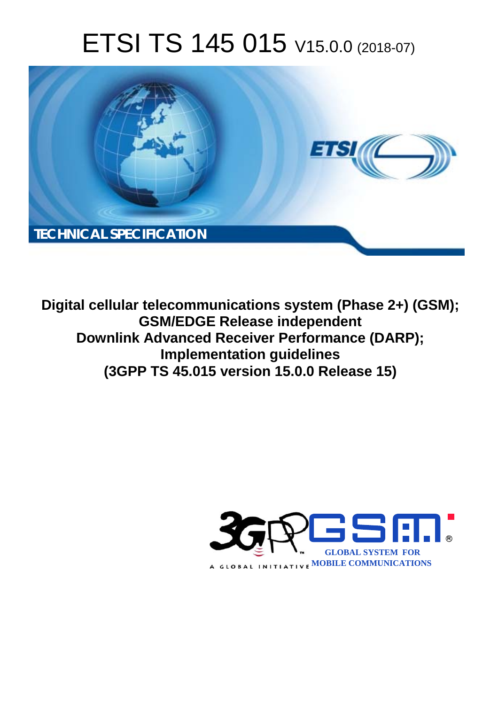# ETSI TS 145 015 V15.0.0 (2018-07)



**Digital cellular telecommunications system (Phase 2+) (GSM); GSM/EDGE Release independent Downlink Advanced Receiver Performance (DARP); Implementation guidelines (3GPP TS 45.015 version 15.0.0 Release 15)** 

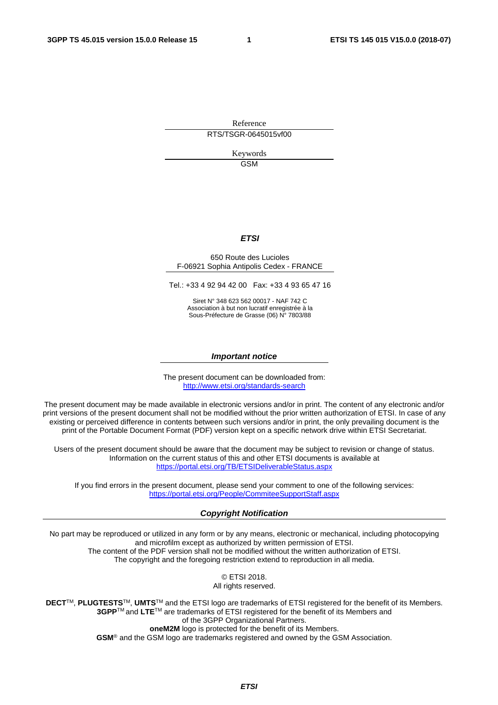Reference RTS/TSGR-0645015vf00

> Keywords GSM

#### *ETSI*

#### 650 Route des Lucioles F-06921 Sophia Antipolis Cedex - FRANCE

Tel.: +33 4 92 94 42 00 Fax: +33 4 93 65 47 16

Siret N° 348 623 562 00017 - NAF 742 C Association à but non lucratif enregistrée à la Sous-Préfecture de Grasse (06) N° 7803/88

#### *Important notice*

The present document can be downloaded from: <http://www.etsi.org/standards-search>

The present document may be made available in electronic versions and/or in print. The content of any electronic and/or print versions of the present document shall not be modified without the prior written authorization of ETSI. In case of any existing or perceived difference in contents between such versions and/or in print, the only prevailing document is the print of the Portable Document Format (PDF) version kept on a specific network drive within ETSI Secretariat.

Users of the present document should be aware that the document may be subject to revision or change of status. Information on the current status of this and other ETSI documents is available at <https://portal.etsi.org/TB/ETSIDeliverableStatus.aspx>

If you find errors in the present document, please send your comment to one of the following services: <https://portal.etsi.org/People/CommiteeSupportStaff.aspx>

#### *Copyright Notification*

No part may be reproduced or utilized in any form or by any means, electronic or mechanical, including photocopying and microfilm except as authorized by written permission of ETSI. The content of the PDF version shall not be modified without the written authorization of ETSI. The copyright and the foregoing restriction extend to reproduction in all media.

> © ETSI 2018. All rights reserved.

**DECT**TM, **PLUGTESTS**TM, **UMTS**TM and the ETSI logo are trademarks of ETSI registered for the benefit of its Members. **3GPP**TM and **LTE**TM are trademarks of ETSI registered for the benefit of its Members and of the 3GPP Organizational Partners. **oneM2M** logo is protected for the benefit of its Members.

**GSM**® and the GSM logo are trademarks registered and owned by the GSM Association.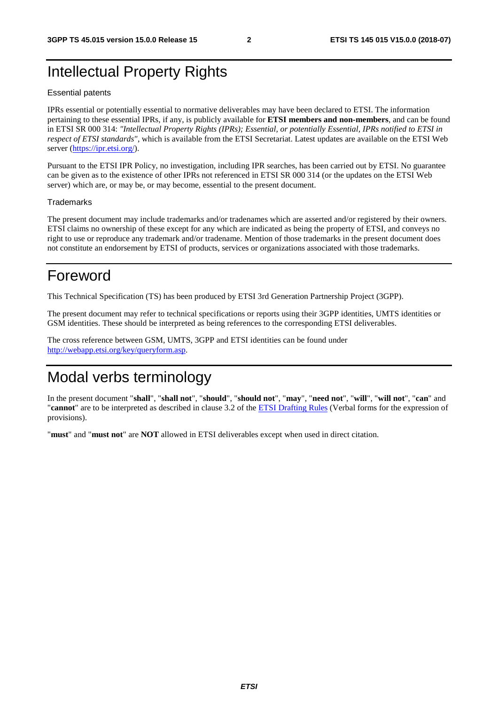### Intellectual Property Rights

#### Essential patents

IPRs essential or potentially essential to normative deliverables may have been declared to ETSI. The information pertaining to these essential IPRs, if any, is publicly available for **ETSI members and non-members**, and can be found in ETSI SR 000 314: *"Intellectual Property Rights (IPRs); Essential, or potentially Essential, IPRs notified to ETSI in respect of ETSI standards"*, which is available from the ETSI Secretariat. Latest updates are available on the ETSI Web server ([https://ipr.etsi.org/\)](https://ipr.etsi.org/).

Pursuant to the ETSI IPR Policy, no investigation, including IPR searches, has been carried out by ETSI. No guarantee can be given as to the existence of other IPRs not referenced in ETSI SR 000 314 (or the updates on the ETSI Web server) which are, or may be, or may become, essential to the present document.

#### **Trademarks**

The present document may include trademarks and/or tradenames which are asserted and/or registered by their owners. ETSI claims no ownership of these except for any which are indicated as being the property of ETSI, and conveys no right to use or reproduce any trademark and/or tradename. Mention of those trademarks in the present document does not constitute an endorsement by ETSI of products, services or organizations associated with those trademarks.

### Foreword

This Technical Specification (TS) has been produced by ETSI 3rd Generation Partnership Project (3GPP).

The present document may refer to technical specifications or reports using their 3GPP identities, UMTS identities or GSM identities. These should be interpreted as being references to the corresponding ETSI deliverables.

The cross reference between GSM, UMTS, 3GPP and ETSI identities can be found under [http://webapp.etsi.org/key/queryform.asp.](http://webapp.etsi.org/key/queryform.asp)

### Modal verbs terminology

In the present document "**shall**", "**shall not**", "**should**", "**should not**", "**may**", "**need not**", "**will**", "**will not**", "**can**" and "**cannot**" are to be interpreted as described in clause 3.2 of the [ETSI Drafting Rules](https://portal.etsi.org/Services/editHelp!/Howtostart/ETSIDraftingRules.aspx) (Verbal forms for the expression of provisions).

"**must**" and "**must not**" are **NOT** allowed in ETSI deliverables except when used in direct citation.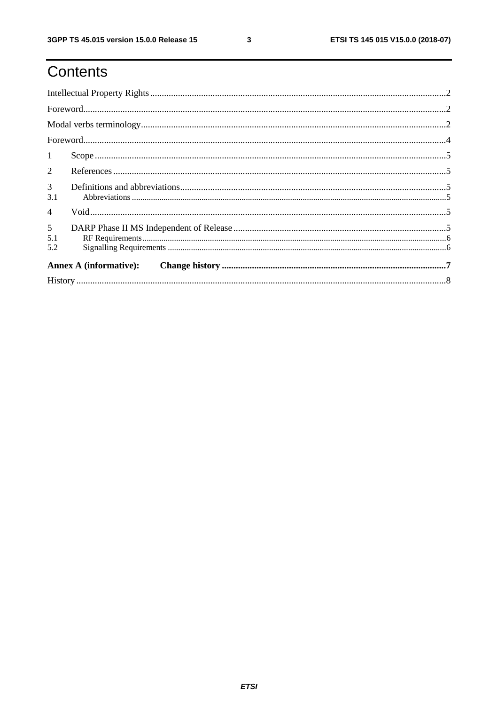## Contents

| $\textbf{For} \textit{word} \textit{} \textit{} \textit{} \textit{} \textit{} \textit{} \textit{} \textit{} \textit{} \textit{} \textit{} \textit{} \textit{} \textit{} \textit{} \textit{} \textit{} \textit{} \textit{} \textit{} \textit{} \textit{} \textit{} \textit{} \textit{} \textit{} \textit{} \textit{} \textit{} \textit{} \textit{} \textit{} \textit{} \textit{} \textit{$ |  |  |  |  |  |
|-------------------------------------------------------------------------------------------------------------------------------------------------------------------------------------------------------------------------------------------------------------------------------------------------------------------------------------------------------------------------------------------|--|--|--|--|--|
|                                                                                                                                                                                                                                                                                                                                                                                           |  |  |  |  |  |
|                                                                                                                                                                                                                                                                                                                                                                                           |  |  |  |  |  |
| $\mathbf{1}$                                                                                                                                                                                                                                                                                                                                                                              |  |  |  |  |  |
| $\overline{2}$                                                                                                                                                                                                                                                                                                                                                                            |  |  |  |  |  |
| 3 <sup>7</sup><br>3.1                                                                                                                                                                                                                                                                                                                                                                     |  |  |  |  |  |
| $\overline{4}$                                                                                                                                                                                                                                                                                                                                                                            |  |  |  |  |  |
| 5 <sup>1</sup><br>5.1<br>5.2                                                                                                                                                                                                                                                                                                                                                              |  |  |  |  |  |
| <b>Annex A (informative):</b>                                                                                                                                                                                                                                                                                                                                                             |  |  |  |  |  |
|                                                                                                                                                                                                                                                                                                                                                                                           |  |  |  |  |  |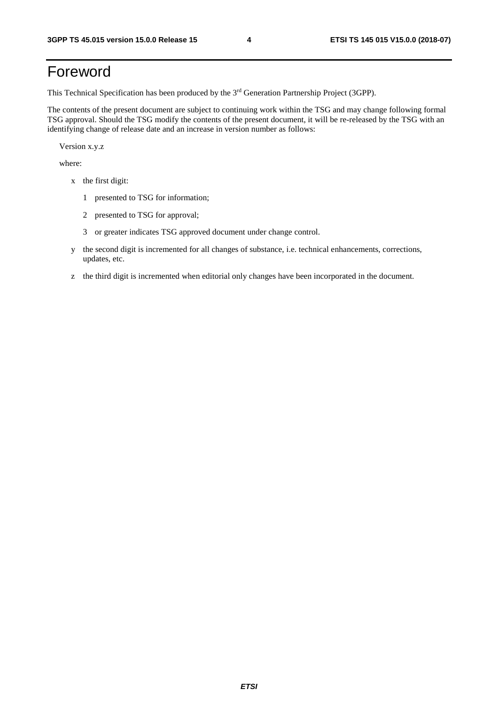### Foreword

This Technical Specification has been produced by the 3rd Generation Partnership Project (3GPP).

The contents of the present document are subject to continuing work within the TSG and may change following formal TSG approval. Should the TSG modify the contents of the present document, it will be re-released by the TSG with an identifying change of release date and an increase in version number as follows:

Version x.y.z

where:

- x the first digit:
	- 1 presented to TSG for information;
	- 2 presented to TSG for approval;
	- 3 or greater indicates TSG approved document under change control.
- y the second digit is incremented for all changes of substance, i.e. technical enhancements, corrections, updates, etc.
- z the third digit is incremented when editorial only changes have been incorporated in the document.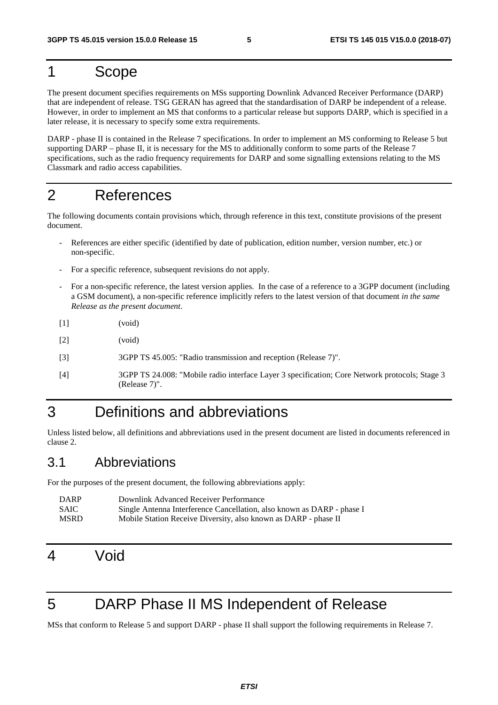### 1 Scope

The present document specifies requirements on MSs supporting Downlink Advanced Receiver Performance (DARP) that are independent of release. TSG GERAN has agreed that the standardisation of DARP be independent of a release. However, in order to implement an MS that conforms to a particular release but supports DARP, which is specified in a later release, it is necessary to specify some extra requirements.

DARP - phase II is contained in the Release 7 specifications. In order to implement an MS conforming to Release 5 but supporting DARP – phase II, it is necessary for the MS to additionally conform to some parts of the Release 7 specifications, such as the radio frequency requirements for DARP and some signalling extensions relating to the MS Classmark and radio access capabilities.

### 2 References

The following documents contain provisions which, through reference in this text, constitute provisions of the present document.

- References are either specific (identified by date of publication, edition number, version number, etc.) or non-specific.
- For a specific reference, subsequent revisions do not apply.
- For a non-specific reference, the latest version applies. In the case of a reference to a 3GPP document (including a GSM document), a non-specific reference implicitly refers to the latest version of that document *in the same Release as the present document*.
- [1] (void)

[2] (void)

- [3] 3GPP TS 45.005: "Radio transmission and reception (Release 7)".
- [4] 3GPP TS 24.008: "Mobile radio interface Layer 3 specification; Core Network protocols; Stage 3 (Release 7)".

### 3 Definitions and abbreviations

Unless listed below, all definitions and abbreviations used in the present document are listed in documents referenced in clause 2.

#### 3.1 Abbreviations

For the purposes of the present document, the following abbreviations apply:

| <b>DARP</b> | Downlink Advanced Receiver Performance                                 |
|-------------|------------------------------------------------------------------------|
| <b>SAIC</b> | Single Antenna Interference Cancellation, also known as DARP - phase I |
| <b>MSRD</b> | Mobile Station Receive Diversity, also known as DARP - phase II        |

### 4 Void

### 5 DARP Phase II MS Independent of Release

MSs that conform to Release 5 and support DARP - phase II shall support the following requirements in Release 7.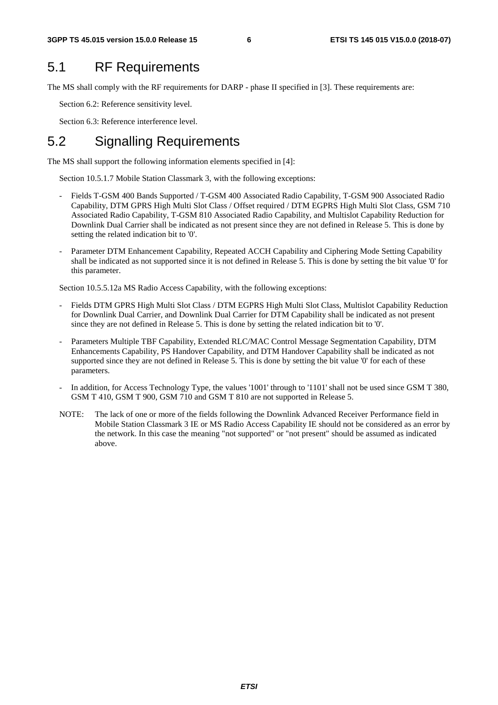#### 5.1 RF Requirements

The MS shall comply with the RF requirements for DARP - phase II specified in [3]. These requirements are:

Section 6.2: Reference sensitivity level.

Section 6.3: Reference interference level.

#### 5.2 Signalling Requirements

The MS shall support the following information elements specified in [4]:

Section 10.5.1.7 Mobile Station Classmark 3, with the following exceptions:

- Fields T-GSM 400 Bands Supported / T-GSM 400 Associated Radio Capability, T-GSM 900 Associated Radio Capability, DTM GPRS High Multi Slot Class / Offset required / DTM EGPRS High Multi Slot Class, GSM 710 Associated Radio Capability, T-GSM 810 Associated Radio Capability, and Multislot Capability Reduction for Downlink Dual Carrier shall be indicated as not present since they are not defined in Release 5. This is done by setting the related indication bit to '0'.
- Parameter DTM Enhancement Capability, Repeated ACCH Capability and Ciphering Mode Setting Capability shall be indicated as not supported since it is not defined in Release 5. This is done by setting the bit value '0' for this parameter.

Section 10.5.5.12a MS Radio Access Capability, with the following exceptions:

- Fields DTM GPRS High Multi Slot Class / DTM EGPRS High Multi Slot Class, Multislot Capability Reduction for Downlink Dual Carrier, and Downlink Dual Carrier for DTM Capability shall be indicated as not present since they are not defined in Release 5. This is done by setting the related indication bit to '0'.
- Parameters Multiple TBF Capability, Extended RLC/MAC Control Message Segmentation Capability, DTM Enhancements Capability, PS Handover Capability, and DTM Handover Capability shall be indicated as not supported since they are not defined in Release 5. This is done by setting the bit value '0' for each of these parameters.
- In addition, for Access Technology Type, the values '1001' through to '1101' shall not be used since GSM T 380, GSM T 410, GSM T 900, GSM 710 and GSM T 810 are not supported in Release 5.
- NOTE: The lack of one or more of the fields following the Downlink Advanced Receiver Performance field in Mobile Station Classmark 3 IE or MS Radio Access Capability IE should not be considered as an error by the network. In this case the meaning "not supported" or "not present" should be assumed as indicated above.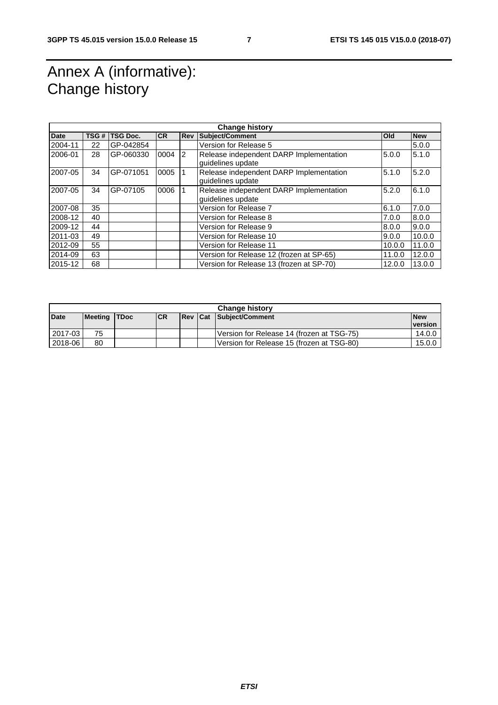### Annex A (informative): Change history

| <b>Change history</b> |      |                 |           |                |                                                              |        |            |
|-----------------------|------|-----------------|-----------|----------------|--------------------------------------------------------------|--------|------------|
| <b>Date</b>           | TSG# | <b>TSG Doc.</b> | <b>CR</b> | <b>Rev</b>     | Subject/Comment                                              | Old    | <b>New</b> |
| 2004-11               | 22   | IGP-042854      |           |                | Version for Release 5                                        |        | 5.0.0      |
| 2006-01               | 28   | GP-060330       | 0004      | $\overline{2}$ | Release independent DARP Implementation<br>quidelines update | 5.0.0  | 5.1.0      |
| 2007-05               | 34   | GP-071051       | 0005      |                | Release independent DARP Implementation<br>guidelines update | 5.1.0  | 5.2.0      |
| 2007-05               | 34   | GP-07105        | 0006      |                | Release independent DARP Implementation<br>quidelines update | 5.2.0  | 6.1.0      |
| 2007-08               | 35   |                 |           |                | Version for Release 7                                        | 6.1.0  | 7.0.0      |
| 2008-12               | 40   |                 |           |                | Version for Release 8                                        | 7.0.0  | 8.0.0      |
| 2009-12               | 44   |                 |           |                | Version for Release 9                                        | 8.0.0  | 9.0.0      |
| 2011-03               | 49   |                 |           |                | Version for Release 10                                       | 9.0.0  | 10.0.0     |
| 2012-09               | 55   |                 |           |                | Version for Release 11                                       | 10.0.0 | 11.0.0     |
| 2014-09               | 63   |                 |           |                | Version for Release 12 (frozen at SP-65)                     | 11.0.0 | 12.0.0     |
| 2015-12               | 68   |                 |           |                | Version for Release 13 (frozen at SP-70)                     | 12.0.0 | 13.0.0     |

| <b>Change history</b> |              |  |            |  |  |                                            |                |
|-----------------------|--------------|--|------------|--|--|--------------------------------------------|----------------|
| <b>Date</b>           | Meeting TDoc |  | <b>ICR</b> |  |  | <b>Rev Cat Subject/Comment</b>             | <b>New</b>     |
|                       |              |  |            |  |  |                                            | <b>version</b> |
| 2017-03               | 75           |  |            |  |  | Version for Release 14 (frozen at TSG-75)  | 14.0.0         |
| 2018-06               | 80           |  |            |  |  | IVersion for Release 15 (frozen at TSG-80) | 15.0.0         |